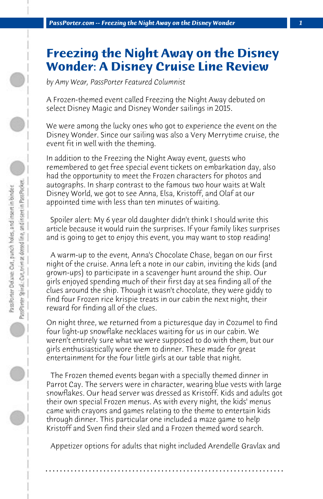## **Freezing the Night Away on the Disney Wonder: A Disney Cruise Line Review**

*by Amy Wear, PassPorter Featured Columnist*

A Frozen-themed event called Freezing the Night Away debuted on select Disney Magic and Disney Wonder sailings in 2015.

We were among the lucky ones who got to experience the event on the Disney Wonder. Since our sailing was also a Very Merrytime cruise, the event fit in well with the theming.

In addition to the Freezing the Night Away event, guests who remembered to get free special event tickets on embarkation day, also had the opportunity to meet the Frozen characters for photos and autographs. In sharp contrast to the famous two hour waits at Walt Disney World, we got to see Anna, Elsa, Kristoff, and Olaf at our appointed time with less than ten minutes of waiting.

 Spoiler alert: My 6 year old daughter didn't think I should write this article because it would ruin the surprises. If your family likes surprises and is going to get to enjoy this event, you may want to stop reading!

 A warm-up to the event, Anna's Chocolate Chase, began on our first night of the cruise. Anna left a note in our cabin, inviting the kids (and grown-ups) to participate in a scavenger hunt around the ship. Our girls enjoyed spending much of their first day at sea finding all of the clues around the ship. Though it wasn't chocolate, they were giddy to find four Frozen rice krispie treats in our cabin the next night, their reward for finding all of the clues.

On night three, we returned from a picturesque day in Cozumel to find four light-up snowflake necklaces waiting for us in our cabin. We weren't entirely sure what we were supposed to do with them, but our girls enthusiastically wore them to dinner. These made for great entertainment for the four little girls at our table that night.

 The Frozen themed events began with a specially themed dinner in Parrot Cay. The servers were in character, wearing blue vests with large snowflakes. Our head server was dressed as Kristoff. Kids and adults got their own special Frozen menus. As with every night, the kids' menus came with crayons and games relating to the theme to entertain kids through dinner. This particular one included a maze game to help Kristoff and Sven find their sled and a Frozen themed word search.

 Appetizer options for adults that night included Arendelle Gravlax and

**. . . . . . . . . . . . . . . . . . . . . . . . . . . . . . . . . . . . . . . . . . . . . . . . . . . . . . . . . . . . . . . . . .**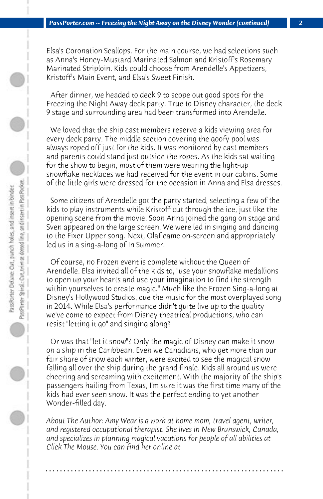Elsa's Coronation Scallops. For the main course, we had selections such as Anna's Honey-Mustard Marinated Salmon and Kristoff's Rosemary Marinated Striploin. Kids could choose from Arendelle's Appetizers, Kristoff's Main Event, and Elsa's Sweet Finish.

 After dinner, we headed to deck 9 to scope out good spots for the Freezing the Night Away deck party. True to Disney character, the deck 9 stage and surrounding area had been transformed into Arendelle.

 We loved that the ship cast members reserve a kids viewing area for every deck party. The middle section covering the goofy pool was always roped off just for the kids. It was monitored by cast members and parents could stand just outside the ropes. As the kids sat waiting for the show to begin, most of them were wearing the light-up snowflake necklaces we had received for the event in our cabins. Some of the little girls were dressed for the occasion in Anna and Elsa dresses.

 Some citizens of Arendelle got the party started, selecting a few of the kids to play instruments while Kristoff cut through the ice, just like the opening scene from the movie. Soon Anna joined the gang on stage and Sven appeared on the large screen. We were led in singing and dancing to the Fixer Upper song. Next, Olaf came on-screen and appropriately led us in a sing-a-long of In Summer.

 Of course, no Frozen event is complete without the Queen of Arendelle. Elsa invited all of the kids to, "use your snowflake medallions to open up your hearts and use your imagination to find the strength within yourselves to create magic." Much like the Frozen Sing-a-long at Disney's Hollywood Studios, cue the music for the most overplayed song in 2014. While Elsa's performance didn't quite live up to the quality we've come to expect from Disney theatrical productions, who can resist "letting it go" and singing along?

 Or was that "let it snow"? Only the magic of Disney can make it snow on a ship in the Caribbean. Even we Canadians, who get more than our fair share of snow each winter, were excited to see the magical snow falling all over the ship during the grand finale. Kids all around us were cheering and screaming with excitement. With the majority of the ship's passengers hailing from Texas, I'm sure it was the first time many of the kids had ever seen snow. It was the perfect ending to yet another Wonder-filled day.

*About The Author: Amy Wear is a work at home mom, travel agent, writer, and registered occupational therapist. She lives in New Brunswick, Canada, and specializes in planning magical vacations for people of all abilities at Click The Mouse. You can find her online at*

**. . . . . . . . . . . . . . . . . . . . . . . . . . . . . . . . . . . . . . . . . . . . . . . . . . . . . . . . . . . . . . . . . .**